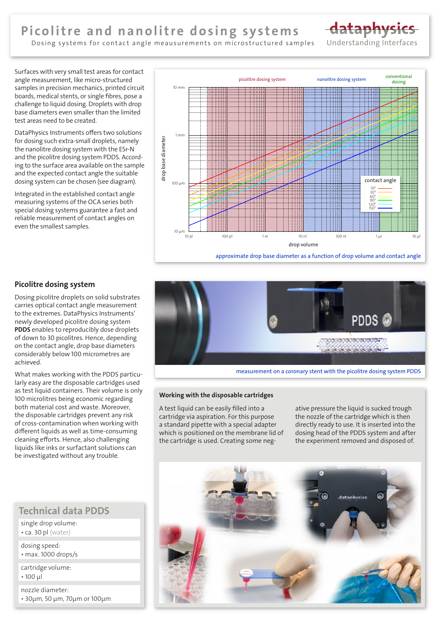# Picolitre and nanolitre dosing systems



Dosing systems for contact angle meausurements on microstructured samples

Surfaces with very small test areas for contact angle measurement, like micro-structured samples in precision mechanics, printed circuit boards, medical stents, or single fibres, pose a challenge to liquid dosing. Droplets with drop base diameters even smaller than the limited test areas need to be created.

DataPhysics Instruments offers two solutions for dosing such extra-small droplets, namely the nanolitre dosing system with the ESr-N and the picolitre dosing system PDDS. According to the surface area available on the sample and the expected contact angle the suitable dosing system can be chosen (see diagram).

Integrated in the established contact angle measuring systems of the OCA series both special dosing systems guarantee a fast and reliable measurement of contact angles on even the smallest samples.



## Picolitre dosing system

Dosing picolitre droplets on solid substrates carries optical contact angle measurement to the extremes. DataPhysics Instruments' newly developed picolitre dosing system PDDS enables to reproducibly dose droplets of down to 30 picolitres. Hence, depending on the contact angle, drop base diameters considerably below 100 micrometres are achieved.

What makes working with the PDDS particularly easy are the disposable cartridges used as test liquid containers. Their volume is only 100 microlitres being economic regarding both material cost and waste. Moreover, the disposable cartridges prevent any risk of cross-contamination when working with different liquids as well as time-consuming cleaning efforts. Hence, also challenging liquids like inks or surfactant solutions can be investigated without any trouble.

# Technical data PDDS

single drop volume: • ca. 30 pl (water)

dosing speed: • max. 1000 drops/s

cartridge volume: • 100 µl

nozzle diameter: • 30µm, 50 µm, 70µm or 100µm



measurement on a coronary stent with the picolitre dosing system PDDS

#### Working with the disposable cartridges

A test liquid can be easily filled into a cartridge via aspiration. For this purpose a standard pipette with a special adapter which is positioned on the membrane lid of the cartridge is used. Creating some negative pressure the liquid is sucked trough the nozzle of the cartridge which is then directly ready to use. It is inserted into the dosing head of the PDDS system and after the experiment removed and disposed of.